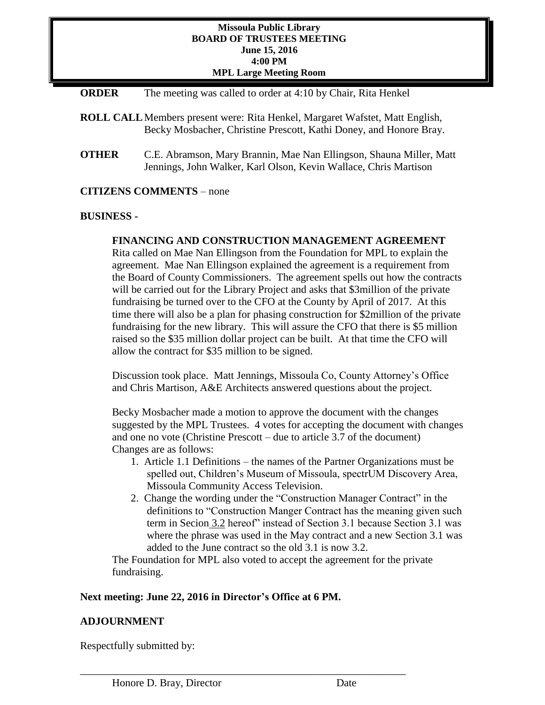### **Missoula Public Library BOARD OF TRUSTEES MEETING June 15, 2016 4:00 PM MPL Large Meeting Room**

- **ORDER** The meeting was called to order at 4:10 by Chair, Rita Henkel
- **ROLL CALL**Members present were: Rita Henkel, Margaret Wafstet, Matt English, Becky Mosbacher, Christine Prescott, Kathi Doney, and Honore Bray.
- **OTHER** C.E. Abramson, Mary Brannin, Mae Nan Ellingson, Shauna Miller, Matt Jennings, John Walker, Karl Olson, Kevin Wallace, Chris Martison

## **CITIZENS COMMENTS** – none

## **BUSINESS -**

# **FINANCING AND CONSTRUCTION MANAGEMENT AGREEMENT**

Rita called on Mae Nan Ellingson from the Foundation for MPL to explain the agreement. Mae Nan Ellingson explained the agreement is a requirement from the Board of County Commissioners. The agreement spells out how the contracts will be carried out for the Library Project and asks that \$3million of the private fundraising be turned over to the CFO at the County by April of 2017. At this time there will also be a plan for phasing construction for \$2million of the private fundraising for the new library. This will assure the CFO that there is \$5 million raised so the \$35 million dollar project can be built. At that time the CFO will allow the contract for \$35 million to be signed.

Discussion took place. Matt Jennings, Missoula Co, County Attorney's Office and Chris Martison, A&E Architects answered questions about the project.

Becky Mosbacher made a motion to approve the document with the changes suggested by the MPL Trustees. 4 votes for accepting the document with changes and one no vote (Christine Prescott – due to article 3.7 of the document) Changes are as follows:

- 1. Article 1.1 Definitions the names of the Partner Organizations must be spelled out, Children's Museum of Missoula, spectrUM Discovery Area, Missoula Community Access Television.
- 2. Change the wording under the "Construction Manager Contract" in the definitions to "Construction Manger Contract has the meaning given such term in Secion 3.2 hereof" instead of Section 3.1 because Section 3.1 was where the phrase was used in the May contract and a new Section 3.1 was added to the June contract so the old 3.1 is now 3.2.

The Foundation for MPL also voted to accept the agreement for the private fundraising.

## **Next meeting: June 22, 2016 in Director's Office at 6 PM.**

\_\_\_\_\_\_\_\_\_\_\_\_\_\_\_\_\_\_\_\_\_\_\_\_\_\_\_\_\_\_\_\_\_\_\_\_\_\_\_\_\_\_\_\_\_\_\_\_\_\_\_\_\_\_\_\_\_\_\_\_\_

## **ADJOURNMENT**

Respectfully submitted by: